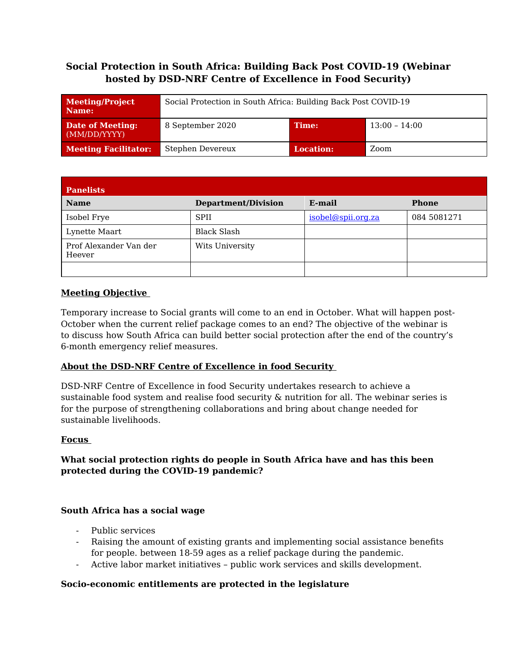# **Social Protection in South Africa: Building Back Post COVID-19 (Webinar hosted by DSD-NRF Centre of Excellence in Food Security)**

| Meeting/Project<br>Name:         | Social Protection in South Africa: Building Back Post COVID-19 |                  |                 |
|----------------------------------|----------------------------------------------------------------|------------------|-----------------|
| Date of Meeting:<br>(MM/DD/YYYY) | 8 September 2020                                               | Time:            | $13:00 - 14:00$ |
| <b>Meeting Facilitator:</b>      | Stephen Devereux                                               | <b>Location:</b> | Zoom            |

| <b>Panelists</b>                 |                            |                    |              |  |
|----------------------------------|----------------------------|--------------------|--------------|--|
| <b>Name</b>                      | <b>Department/Division</b> | E-mail             | <b>Phone</b> |  |
| Isobel Frye                      | <b>SPII</b>                | isobel@spii.org.za | 084 5081271  |  |
| Lynette Maart                    | <b>Black Slash</b>         |                    |              |  |
| Prof Alexander Van der<br>Heever | Wits University            |                    |              |  |
|                                  |                            |                    |              |  |

### **Meeting Objective**

Temporary increase to Social grants will come to an end in October. What will happen post-October when the current relief package comes to an end? The objective of the webinar is to discuss how South Africa can build better social protection after the end of the country's 6-month emergency relief measures.

### **About the DSD-NRF Centre of Excellence in food Security**

DSD-NRF Centre of Excellence in food Security undertakes research to achieve a sustainable food system and realise food security & nutrition for all. The webinar series is for the purpose of strengthening collaborations and bring about change needed for sustainable livelihoods.

#### **Focus**

### **What social protection rights do people in South Africa have and has this been protected during the COVID-19 pandemic?**

#### **South Africa has a social wage**

- Public services
- Raising the amount of existing grants and implementing social assistance benefits for people. between 18-59 ages as a relief package during the pandemic.
- Active labor market initiatives public work services and skills development.

#### **Socio-economic entitlements are protected in the legislature**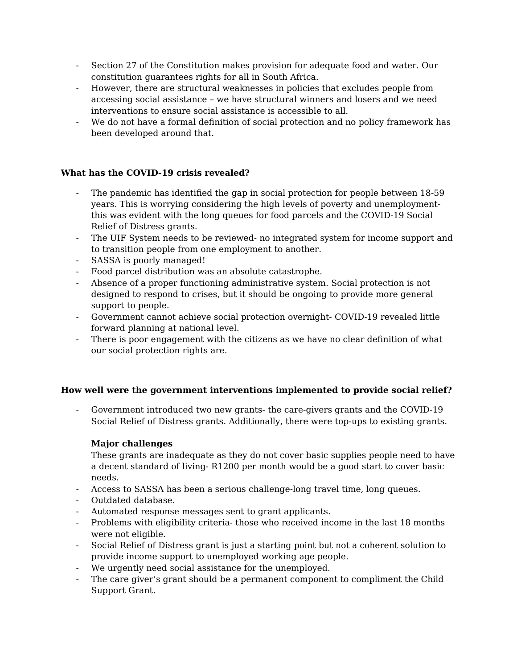- Section 27 of the Constitution makes provision for adequate food and water. Our constitution guarantees rights for all in South Africa.
- However, there are structural weaknesses in policies that excludes people from accessing social assistance – we have structural winners and losers and we need interventions to ensure social assistance is accessible to all.
- We do not have a formal definition of social protection and no policy framework has been developed around that.

### **What has the COVID-19 crisis revealed?**

- The pandemic has identified the gap in social protection for people between 18-59 years. This is worrying considering the high levels of poverty and unemploymentthis was evident with the long queues for food parcels and the COVID-19 Social Relief of Distress grants.
- The UIF System needs to be reviewed- no integrated system for income support and to transition people from one employment to another.
- SASSA is poorly managed!
- Food parcel distribution was an absolute catastrophe.
- Absence of a proper functioning administrative system. Social protection is not designed to respond to crises, but it should be ongoing to provide more general support to people.
- Government cannot achieve social protection overnight- COVID-19 revealed little forward planning at national level.
- There is poor engagement with the citizens as we have no clear definition of what our social protection rights are.

#### **How well were the government interventions implemented to provide social relief?**

- Government introduced two new grants- the care-givers grants and the COVID-19 Social Relief of Distress grants. Additionally, there were top-ups to existing grants.

#### **Major challenges**

These grants are inadequate as they do not cover basic supplies people need to have a decent standard of living- R1200 per month would be a good start to cover basic needs.

- Access to SASSA has been a serious challenge-long travel time, long queues.
- Outdated database.
- Automated response messages sent to grant applicants.
- Problems with eligibility criteria- those who received income in the last 18 months were not eligible.
- Social Relief of Distress grant is just a starting point but not a coherent solution to provide income support to unemployed working age people.
- We urgently need social assistance for the unemployed.
- The care giver's grant should be a permanent component to compliment the Child Support Grant.